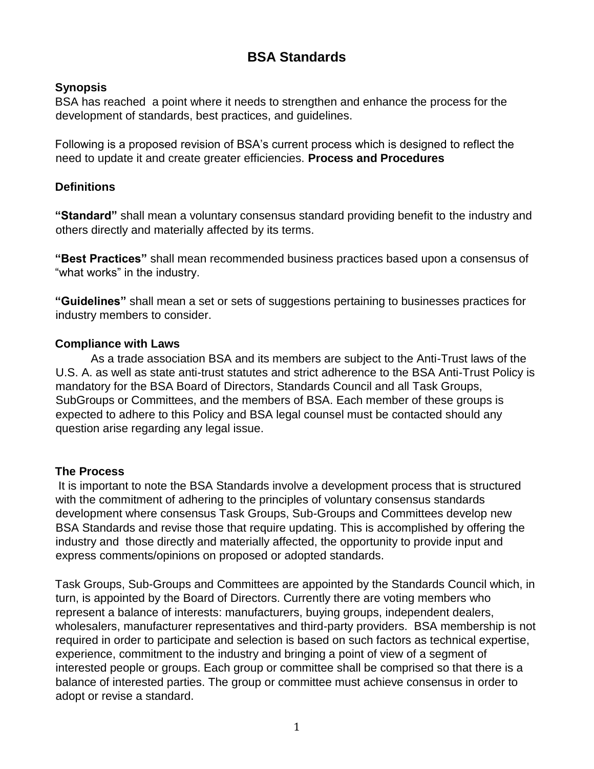# **BSA Standards**

#### **Synopsis**

BSA has reached a point where it needs to strengthen and enhance the process for the development of standards, best practices, and guidelines.

Following is a proposed revision of BSA's current process which is designed to reflect the need to update it and create greater efficiencies. **Process and Procedures** 

#### **Definitions**

**"Standard"** shall mean a voluntary consensus standard providing benefit to the industry and others directly and materially affected by its terms.

**"Best Practices"** shall mean recommended business practices based upon a consensus of "what works" in the industry.

**"Guidelines"** shall mean a set or sets of suggestions pertaining to businesses practices for industry members to consider.

#### **Compliance with Laws**

As a trade association BSA and its members are subject to the Anti-Trust laws of the U.S. A. as well as state anti-trust statutes and strict adherence to the BSA Anti-Trust Policy is mandatory for the BSA Board of Directors, Standards Council and all Task Groups, SubGroups or Committees, and the members of BSA. Each member of these groups is expected to adhere to this Policy and BSA legal counsel must be contacted should any question arise regarding any legal issue.

### **The Process**

It is important to note the BSA Standards involve a development process that is structured with the commitment of adhering to the principles of voluntary consensus standards development where consensus Task Groups, Sub-Groups and Committees develop new BSA Standards and revise those that require updating. This is accomplished by offering the industry and those directly and materially affected, the opportunity to provide input and express comments/opinions on proposed or adopted standards.

Task Groups, Sub-Groups and Committees are appointed by the Standards Council which, in turn, is appointed by the Board of Directors. Currently there are voting members who represent a balance of interests: manufacturers, buying groups, independent dealers, wholesalers, manufacturer representatives and third-party providers. BSA membership is not required in order to participate and selection is based on such factors as technical expertise, experience, commitment to the industry and bringing a point of view of a segment of interested people or groups. Each group or committee shall be comprised so that there is a balance of interested parties. The group or committee must achieve consensus in order to adopt or revise a standard.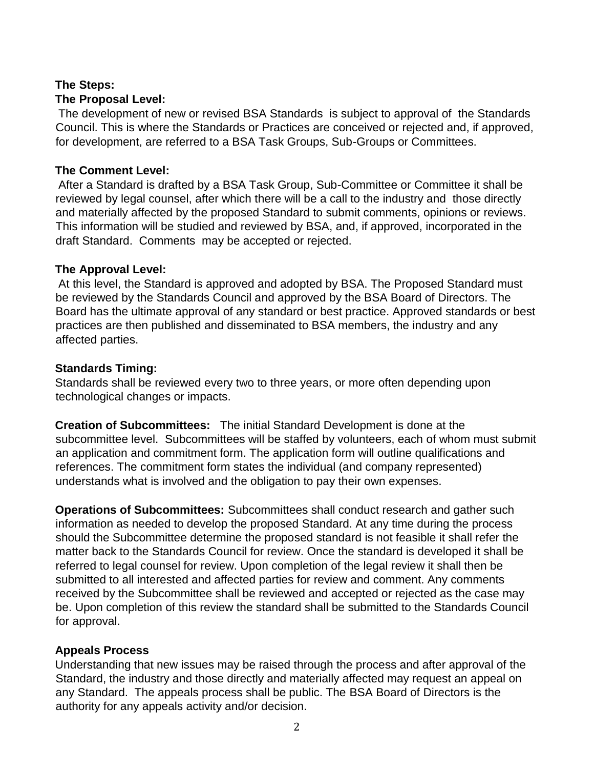#### **The Steps: The Proposal Level:**

The development of new or revised BSA Standards is subject to approval of the Standards Council. This is where the Standards or Practices are conceived or rejected and, if approved, for development, are referred to a BSA Task Groups, Sub-Groups or Committees.

### **The Comment Level:**

After a Standard is drafted by a BSA Task Group, Sub-Committee or Committee it shall be reviewed by legal counsel, after which there will be a call to the industry and those directly and materially affected by the proposed Standard to submit comments, opinions or reviews. This information will be studied and reviewed by BSA, and, if approved, incorporated in the draft Standard. Comments may be accepted or rejected.

### **The Approval Level:**

At this level, the Standard is approved and adopted by BSA. The Proposed Standard must be reviewed by the Standards Council and approved by the BSA Board of Directors. The Board has the ultimate approval of any standard or best practice. Approved standards or best practices are then published and disseminated to BSA members, the industry and any affected parties.

### **Standards Timing:**

Standards shall be reviewed every two to three years, or more often depending upon technological changes or impacts.

**Creation of Subcommittees:** The initial Standard Development is done at the subcommittee level. Subcommittees will be staffed by volunteers, each of whom must submit an application and commitment form. The application form will outline qualifications and references. The commitment form states the individual (and company represented) understands what is involved and the obligation to pay their own expenses.

**Operations of Subcommittees:** Subcommittees shall conduct research and gather such information as needed to develop the proposed Standard. At any time during the process should the Subcommittee determine the proposed standard is not feasible it shall refer the matter back to the Standards Council for review. Once the standard is developed it shall be referred to legal counsel for review. Upon completion of the legal review it shall then be submitted to all interested and affected parties for review and comment. Any comments received by the Subcommittee shall be reviewed and accepted or rejected as the case may be. Upon completion of this review the standard shall be submitted to the Standards Council for approval.

### **Appeals Process**

Understanding that new issues may be raised through the process and after approval of the Standard, the industry and those directly and materially affected may request an appeal on any Standard. The appeals process shall be public. The BSA Board of Directors is the authority for any appeals activity and/or decision.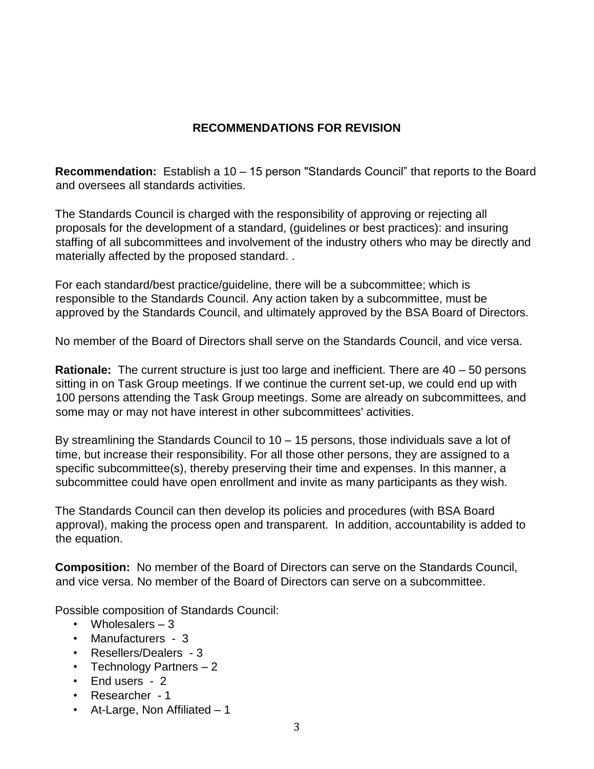## **RECOMMENDATIONS FOR REVISION**

**Recommendation:** Establish a 10 – 15 person "Standards Council" that reports to the Board and oversees all standards activities.

The Standards Council is charged with the responsibility of approving or rejecting all proposals for the development of a standard, (guidelines or best practices): and insuring staffing of all subcommittees and involvement of the industry others who may be directly and materially affected by the proposed standard. .

For each standard/best practice/guideline, there will be a subcommittee; which is responsible to the Standards Council. Any action taken by a subcommittee, must be approved by the Standards Council, and ultimately approved by the BSA Board of Directors.

No member of the Board of Directors shall serve on the Standards Council, and vice versa.

**Rationale:** The current structure is just too large and inefficient. There are 40 – 50 persons sitting in on Task Group meetings. If we continue the current set-up, we could end up with 100 persons attending the Task Group meetings. Some are already on subcommittees, and some may or may not have interest in other subcommittees' activities.

By streamlining the Standards Council to 10 – 15 persons, those individuals save a lot of time, but increase their responsibility. For all those other persons, they are assigned to a specific subcommittee(s), thereby preserving their time and expenses. In this manner, a subcommittee could have open enrollment and invite as many participants as they wish.

The Standards Council can then develop its policies and procedures (with BSA Board approval), making the process open and transparent. In addition, accountability is added to the equation.

**Composition:** No member of the Board of Directors can serve on the Standards Council, and vice versa. No member of the Board of Directors can serve on a subcommittee.

Possible composition of Standards Council:

- Wholesalers 3
- Manufacturers 3
- Resellers/Dealers 3
- Technology Partners 2
- End users 2
- Researcher 1
- At-Large, Non Affiliated 1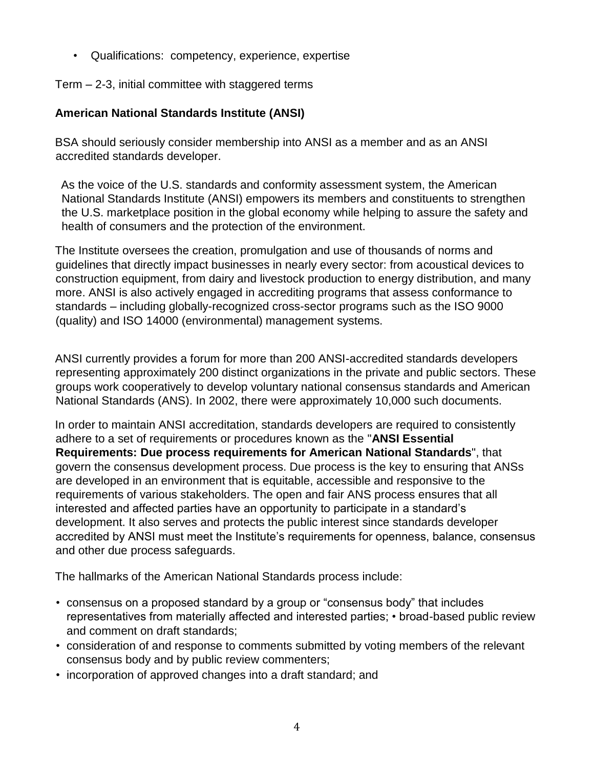• Qualifications: competency, experience, expertise

Term – 2-3, initial committee with staggered terms

### **American National Standards Institute (ANSI)**

BSA should seriously consider membership into ANSI as a member and as an ANSI accredited standards developer.

As the voice of the U.S. standards and conformity assessment system, the American National Standards Institute (ANSI) empowers its members and constituents to strengthen the U.S. marketplace position in the global economy while helping to assure the safety and health of consumers and the protection of the environment.

The Institute oversees the creation, promulgation and use of thousands of norms and guidelines that directly impact businesses in nearly every sector: from acoustical devices to construction equipment, from dairy and livestock production to energy distribution, and many more. ANSI is also actively engaged in accrediting programs that assess conformance to standards – including globally-recognized cross-sector programs such as the ISO 9000 (quality) and ISO 14000 (environmental) management systems.

ANSI currently provides a forum for more than 200 ANSI-accredited standards developers representing approximately 200 distinct organizations in the private and public sectors. These groups work cooperatively to develop voluntary national consensus standards and American National Standards (ANS). In 2002, there were approximately 10,000 such documents.

In order to maintain ANSI accreditation, standards developers are required to consistently adhere to a set of requirements or procedures known as the ["](http://www.ansi.org/essentialrequirements)**[ANSI Essential](http://www.ansi.org/essentialrequirements)  [Requirements:](http://www.ansi.org/essentialrequirements) [Due process requirements for American National Standards](http://www.ansi.org/essentialrequirements)**[",](http://www.ansi.org/essentialrequirements) that govern the consensus development process. Due process is the key to ensuring that ANSs are developed in an environment that is equitable, accessible and responsive to the requirements of various stakeholders. The open and fair ANS process ensures that all interested and affected parties have an opportunity to participate in a standard's development. It also serves and protects the public interest since standards developer accredited by ANSI must meet the Institute's requirements for openness, balance, consensus and other due process safeguards.

The hallmarks of the American National Standards process include:

- consensus on a proposed standard by a group or "consensus body" that includes representatives from materially affected and interested parties; • broad-based public review and comment on draft standards;
- consideration of and response to comments submitted by voting members of the relevant consensus body and by public review commenters;
- incorporation of approved changes into a draft standard; and